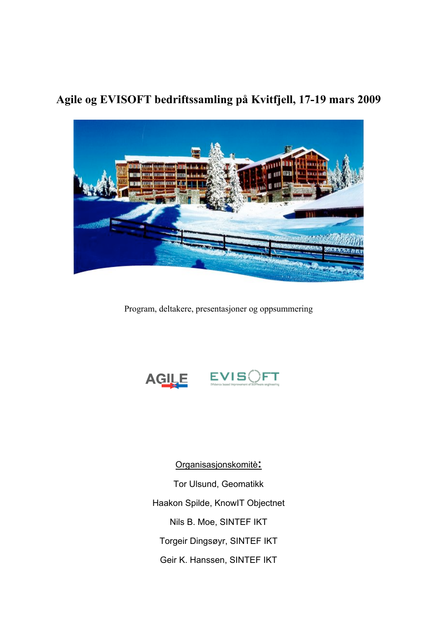

**Agile og EVISOFT bedriftssamling på Kvitfjell, 17-19 mars 2009**

Program, deltakere, presentasjoner og oppsummering



Organisasjonskomitè**:** Tor Ulsund, Geomatikk Haakon Spilde, KnowIT Objectnet Nils B. Moe, SINTEF IKT Torgeir Dingsøyr, SINTEF IKT Geir K. Hanssen, SINTEF IKT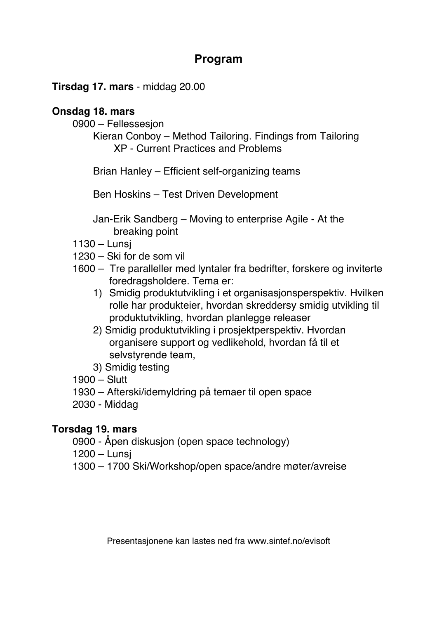### **Program**

#### **Tirsdag 17. mars** - middag 20.00

#### **Onsdag 18. mars**

- 0900 Fellessesjon
	- Kieran Conboy Method Tailoring. Findings from Tailoring XP - Current Practices and Problems
	- Brian Hanley Efficient self-organizing teams

Ben Hoskins – Test Driven Development

- Jan-Erik Sandberg Moving to enterprise Agile At the breaking point
- 1130 Lunsj
- 1230 Ski for de som vil
- 1600 Tre paralleller med lyntaler fra bedrifter, forskere og inviterte foredragsholdere. Tema er:
	- 1) Smidig produktutvikling i et organisasjonsperspektiv. Hvilken rolle har produkteier, hvordan skreddersy smidig utvikling til produktutvikling, hvordan planlegge releaser
	- 2) Smidig produktutvikling i prosjektperspektiv. Hvordan organisere support og vedlikehold, hvordan få til et selvstyrende team,
	- 3) Smidig testing
- 1900 Slutt
- 1930 Afterski/idemyldring på temaer til open space
- 2030 Middag

### **Torsdag 19. mars**

- 0900 Åpen diskusjon (open space technology)
- 1200 Lunsj
- 1300 1700 Ski/Workshop/open space/andre møter/avreise

Presentasjonene kan lastes ned fra www.sintef.no/evisoft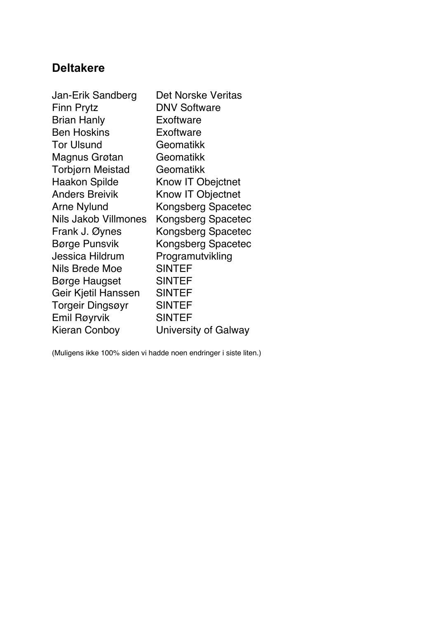# **Deltakere**

| Jan-Erik Sandberg       | Det Norske Veritas        |
|-------------------------|---------------------------|
| <b>Finn Prytz</b>       | <b>DNV Software</b>       |
| <b>Brian Hanly</b>      | Exoftware                 |
| <b>Ben Hoskins</b>      | Exoftware                 |
| <b>Tor Ulsund</b>       | Geomatikk                 |
| Magnus Grøtan           | Geomatikk                 |
| Torbjørn Meistad        | Geomatikk                 |
| <b>Haakon Spilde</b>    | Know IT Obejctnet         |
| <b>Anders Breivik</b>   | Know IT Objectnet         |
| <b>Arne Nylund</b>      | Kongsberg Spacetec        |
| Nils Jakob Villmones    | Kongsberg Spacetec        |
| Frank J. Øynes          | <b>Kongsberg Spacetec</b> |
| Børge Punsvik           | Kongsberg Spacetec        |
| <b>Jessica Hildrum</b>  | Programutvikling          |
| Nils Brede Moe          | <b>SINTEF</b>             |
| <b>Børge Haugset</b>    | <b>SINTEF</b>             |
| Geir Kjetil Hanssen     | <b>SINTEF</b>             |
| <b>Torgeir Dingsøyr</b> | <b>SINTEF</b>             |
| Emil Røyrvik            | <b>SINTEF</b>             |
| <b>Kieran Conboy</b>    | University of Galway      |

(Muligens ikke 100% siden vi hadde noen endringer i siste liten.)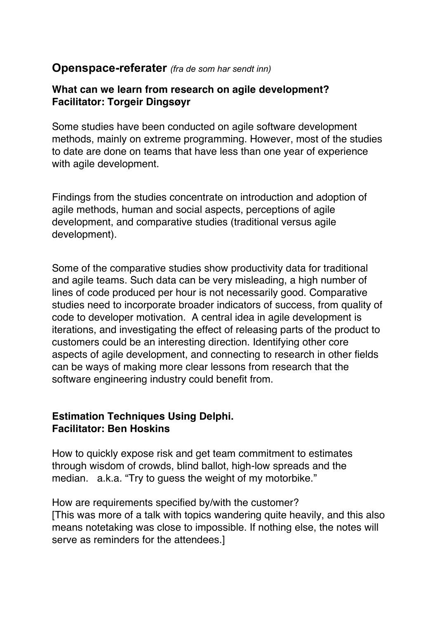### **Openspace-referater** *(fra de som har sendt inn)*

#### **What can we learn from research on agile development? Facilitator: Torgeir Dingsøyr**

Some studies have been conducted on agile software development methods, mainly on extreme programming. However, most of the studies to date are done on teams that have less than one year of experience with agile development.

Findings from the studies concentrate on introduction and adoption of agile methods, human and social aspects, perceptions of agile development, and comparative studies (traditional versus agile development).

Some of the comparative studies show productivity data for traditional and agile teams. Such data can be very misleading, a high number of lines of code produced per hour is not necessarily good. Comparative studies need to incorporate broader indicators of success, from quality of code to developer motivation. A central idea in agile development is iterations, and investigating the effect of releasing parts of the product to customers could be an interesting direction. Identifying other core aspects of agile development, and connecting to research in other fields can be ways of making more clear lessons from research that the software engineering industry could benefit from.

#### **Estimation Techniques Using Delphi. Facilitator: Ben Hoskins**

How to quickly expose risk and get team commitment to estimates through wisdom of crowds, blind ballot, high-low spreads and the median. a.k.a. "Try to guess the weight of my motorbike."

How are requirements specified by/with the customer? [This was more of a talk with topics wandering quite heavily, and this also means notetaking was close to impossible. If nothing else, the notes will serve as reminders for the attendees.]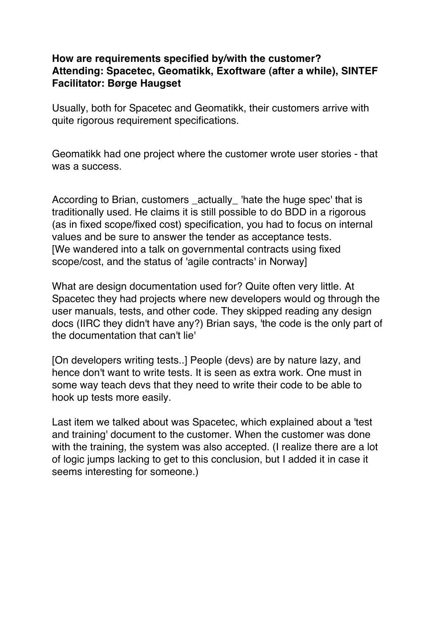#### **How are requirements specified by/with the customer? Attending: Spacetec, Geomatikk, Exoftware (after a while), SINTEF Facilitator: Børge Haugset**

Usually, both for Spacetec and Geomatikk, their customers arrive with quite rigorous requirement specifications.

Geomatikk had one project where the customer wrote user stories - that was a success.

According to Brian, customers \_actually\_ 'hate the huge spec' that is traditionally used. He claims it is still possible to do BDD in a rigorous (as in fixed scope/fixed cost) specification, you had to focus on internal values and be sure to answer the tender as acceptance tests. [We wandered into a talk on governmental contracts using fixed scope/cost, and the status of 'agile contracts' in Norway]

What are design documentation used for? Quite often very little. At Spacetec they had projects where new developers would og through the user manuals, tests, and other code. They skipped reading any design docs (IIRC they didn't have any?) Brian says, 'the code is the only part of the documentation that can't lie'

[On developers writing tests..] People (devs) are by nature lazy, and hence don't want to write tests. It is seen as extra work. One must in some way teach devs that they need to write their code to be able to hook up tests more easily.

Last item we talked about was Spacetec, which explained about a 'test and training' document to the customer. When the customer was done with the training, the system was also accepted. (I realize there are a lot of logic jumps lacking to get to this conclusion, but I added it in case it seems interesting for someone.)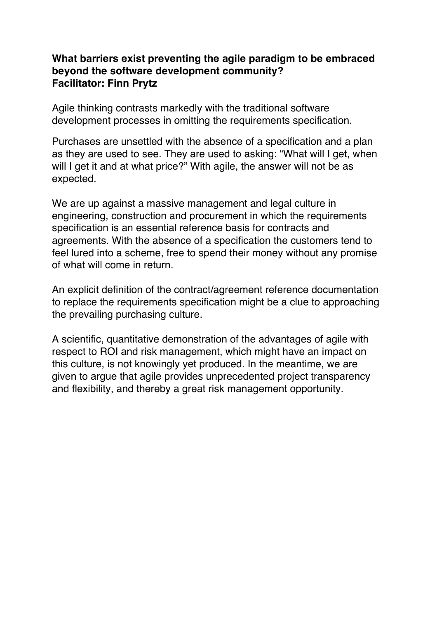#### **What barriers exist preventing the agile paradigm to be embraced beyond the software development community? Facilitator: Finn Prytz**

Agile thinking contrasts markedly with the traditional software development processes in omitting the requirements specification.

Purchases are unsettled with the absence of a specification and a plan as they are used to see. They are used to asking: "What will I get, when will I get it and at what price?" With agile, the answer will not be as expected.

We are up against a massive management and legal culture in engineering, construction and procurement in which the requirements specification is an essential reference basis for contracts and agreements. With the absence of a specification the customers tend to feel lured into a scheme, free to spend their money without any promise of what will come in return.

An explicit definition of the contract/agreement reference documentation to replace the requirements specification might be a clue to approaching the prevailing purchasing culture.

A scientific, quantitative demonstration of the advantages of agile with respect to ROI and risk management, which might have an impact on this culture, is not knowingly yet produced. In the meantime, we are given to argue that agile provides unprecedented project transparency and flexibility, and thereby a great risk management opportunity.